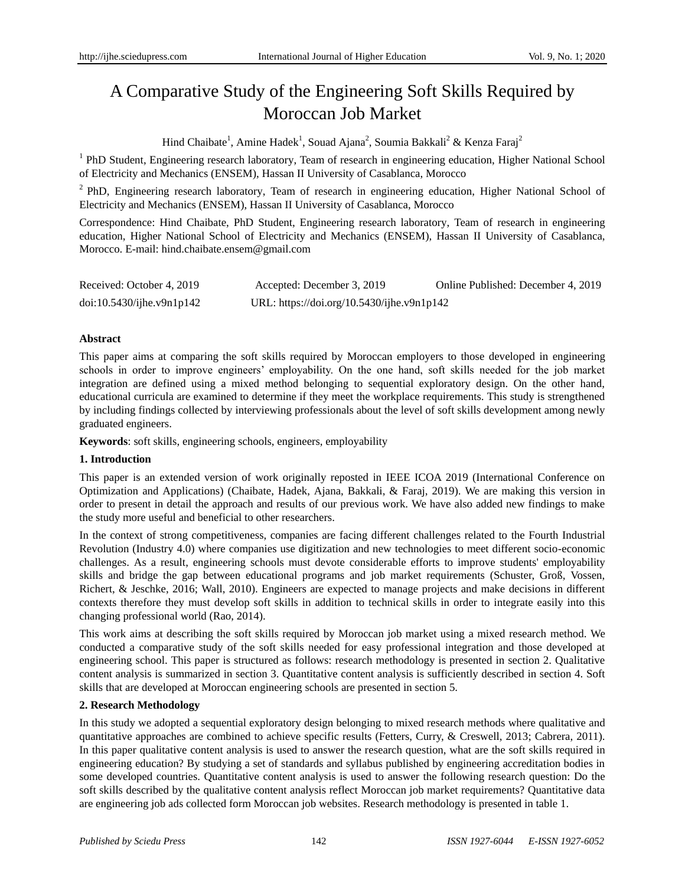# A Comparative Study of the Engineering Soft Skills Required by Moroccan Job Market

Hind Chaibate<sup>1</sup>, Amine Hadek<sup>1</sup>, Souad Ajana<sup>2</sup>, Soumia Bakkali<sup>2</sup> & Kenza Faraj<sup>2</sup>

<sup>1</sup> PhD Student, Engineering research laboratory, Team of research in engineering education, Higher National School of Electricity and Mechanics (ENSEM), Hassan II University of Casablanca, Morocco

<sup>2</sup> PhD, Engineering research laboratory, Team of research in engineering education, Higher National School of Electricity and Mechanics (ENSEM), Hassan II University of Casablanca, Morocco

Correspondence: Hind Chaibate, PhD Student, Engineering research laboratory, Team of research in engineering education, Higher National School of Electricity and Mechanics (ENSEM), Hassan II University of Casablanca, Morocco. E-mail: hind.chaibate.ensem@gmail.com

| Received: October 4, 2019 | Accepted: December 3, 2019                 | Online Published: December 4, 2019 |
|---------------------------|--------------------------------------------|------------------------------------|
| doi:10.5430/ijhe.v9n1p142 | URL: https://doi.org/10.5430/ijhe.v9n1p142 |                                    |

# **Abstract**

This paper aims at comparing the soft skills required by Moroccan employers to those developed in engineering schools in order to improve engineers' employability. On the one hand, soft skills needed for the job market integration are defined using a mixed method belonging to sequential exploratory design. On the other hand, educational curricula are examined to determine if they meet the workplace requirements. This study is strengthened by including findings collected by interviewing professionals about the level of soft skills development among newly graduated engineers.

**Keywords**: soft skills, engineering schools, engineers, employability

# **1. Introduction**

This paper is an extended version of work originally reposted in IEEE ICOA 2019 (International Conference on Optimization and Applications) (Chaibate, Hadek, Ajana, Bakkali, & Faraj, 2019). We are making this version in order to present in detail the approach and results of our previous work. We have also added new findings to make the study more useful and beneficial to other researchers.

In the context of strong competitiveness, companies are facing different challenges related to the Fourth Industrial Revolution (Industry 4.0) where companies use digitization and new technologies to meet different socio-economic challenges. As a result, engineering schools must devote considerable efforts to improve students' employability skills and bridge the gap between educational programs and job market requirements (Schuster, Groß, Vossen, Richert, & Jeschke, 2016; Wall, 2010). Engineers are expected to manage projects and make decisions in different contexts therefore they must develop soft skills in addition to technical skills in order to integrate easily into this changing professional world (Rao, 2014).

This work aims at describing the soft skills required by Moroccan job market using a mixed research method. We conducted a comparative study of the soft skills needed for easy professional integration and those developed at engineering school. This paper is structured as follows: research methodology is presented in section 2. Qualitative content analysis is summarized in section 3. Quantitative content analysis is sufficiently described in section 4. Soft skills that are developed at Moroccan engineering schools are presented in section 5.

# **2. Research Methodology**

In this study we adopted a sequential exploratory design belonging to mixed research methods where qualitative and quantitative approaches are combined to achieve specific results (Fetters, Curry, & Creswell, 2013; Cabrera, 2011). In this paper qualitative content analysis is used to answer the research question, what are the soft skills required in engineering education? By studying a set of standards and syllabus published by engineering accreditation bodies in some developed countries. Quantitative content analysis is used to answer the following research question: Do the soft skills described by the qualitative content analysis reflect Moroccan job market requirements? Quantitative data are engineering job ads collected form Moroccan job websites. Research methodology is presented in table 1.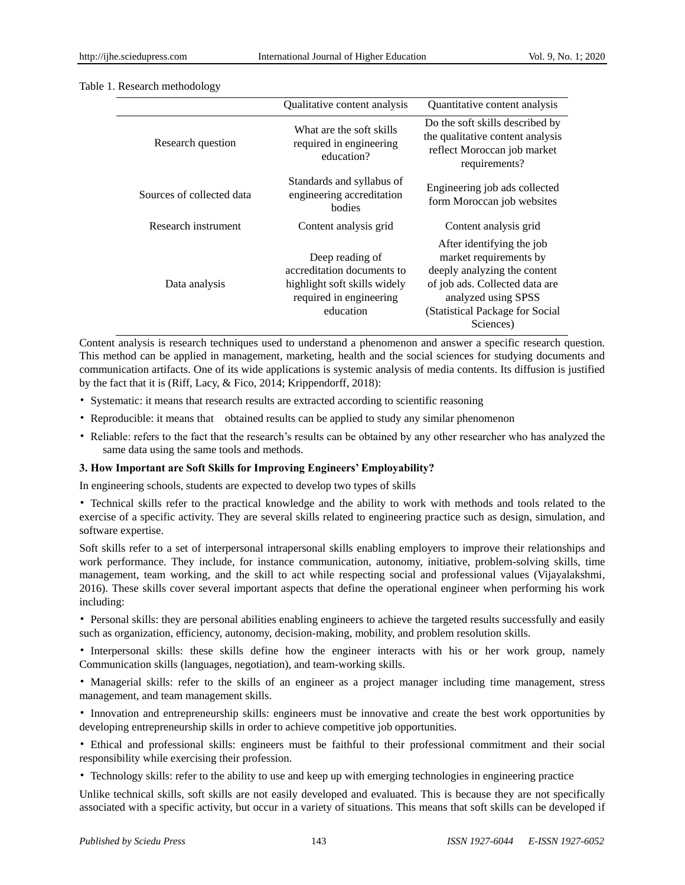|                           | Qualitative content analysis                                                                                                                                                             | Quantitative content analysis                                                                                                                                                                |
|---------------------------|------------------------------------------------------------------------------------------------------------------------------------------------------------------------------------------|----------------------------------------------------------------------------------------------------------------------------------------------------------------------------------------------|
| Research question         | Do the soft skills described by<br>What are the soft skills<br>the qualitative content analysis<br>required in engineering<br>reflect Moroccan job market<br>education?<br>requirements? |                                                                                                                                                                                              |
| Sources of collected data | Standards and syllabus of<br>engineering accreditation<br>bodies                                                                                                                         | Engineering job ads collected<br>form Moroccan job websites                                                                                                                                  |
| Research instrument       | Content analysis grid                                                                                                                                                                    | Content analysis grid                                                                                                                                                                        |
| Data analysis             | Deep reading of<br>accreditation documents to<br>highlight soft skills widely<br>required in engineering<br>education                                                                    | After identifying the job<br>market requirements by<br>deeply analyzing the content<br>of job ads. Collected data are<br>analyzed using SPSS<br>(Statistical Package for Social<br>Sciences) |

#### Table 1. Research methodology

Content analysis is research techniques used to understand a phenomenon and answer a specific research question. This method can be applied in management, marketing, health and the social sciences for studying documents and communication artifacts. One of its wide applications is systemic analysis of media contents. Its diffusion is justified by the fact that it is (Riff, Lacy, & Fico, 2014; Krippendorff, 2018):

- Systematic: it means that research results are extracted according to scientific reasoning
- Reproducible: it means that obtained results can be applied to study any similar phenomenon
- Reliable: refers to the fact that the research's results can be obtained by any other researcher who has analyzed the same data using the same tools and methods.

## **3. How Important are Soft Skills for Improving Engineers' Employability?**

In engineering schools, students are expected to develop two types of skills

• Technical skills refer to the practical knowledge and the ability to work with methods and tools related to the exercise of a specific activity. They are several skills related to engineering practice such as design, simulation, and software expertise.

Soft skills refer to a set of interpersonal intrapersonal skills enabling employers to improve their relationships and work performance. They include, for instance communication, autonomy, initiative, problem-solving skills, time management, team working, and the skill to act while respecting social and professional values (Vijayalakshmi, 2016). These skills cover several important aspects that define the operational engineer when performing his work including:

• Personal skills: they are personal abilities enabling engineers to achieve the targeted results successfully and easily such as organization, efficiency, autonomy, decision-making, mobility, and problem resolution skills.

• Interpersonal skills: these skills define how the engineer interacts with his or her work group, namely Communication skills (languages, negotiation), and team-working skills.

• Managerial skills: refer to the skills of an engineer as a project manager including time management, stress management, and team management skills.

• Innovation and entrepreneurship skills: engineers must be innovative and create the best work opportunities by developing entrepreneurship skills in order to achieve competitive job opportunities.

• Ethical and professional skills: engineers must be faithful to their professional commitment and their social responsibility while exercising their profession.

• Technology skills: refer to the ability to use and keep up with emerging technologies in engineering practice

Unlike technical skills, soft skills are not easily developed and evaluated. This is because they are not specifically associated with a specific activity, but occur in a variety of situations. This means that soft skills can be developed if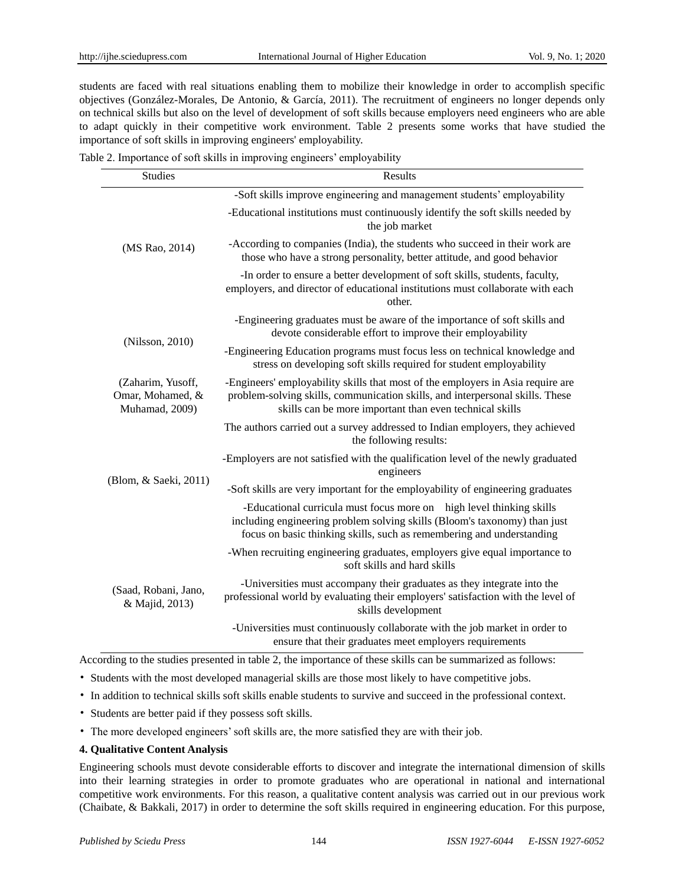students are faced with real situations enabling them to mobilize their knowledge in order to accomplish specific objectives (González-Morales, De Antonio, & García, 2011). The recruitment of engineers no longer depends only on technical skills but also on the level of development of soft skills because employers need engineers who are able to adapt quickly in their competitive work environment. Table 2 presents some works that have studied the importance of soft skills in improving engineers' employability.

|  |  |  | Table 2. Importance of soft skills in improving engineers' employability |
|--|--|--|--------------------------------------------------------------------------|
|  |  |  |                                                                          |

| <b>Studies</b>                                          | Results                                                                                                                                                                                                                     |  |  |
|---------------------------------------------------------|-----------------------------------------------------------------------------------------------------------------------------------------------------------------------------------------------------------------------------|--|--|
| (MS Rao, 2014)                                          | -Soft skills improve engineering and management students' employability                                                                                                                                                     |  |  |
|                                                         | -Educational institutions must continuously identify the soft skills needed by<br>the job market                                                                                                                            |  |  |
|                                                         | -According to companies (India), the students who succeed in their work are<br>those who have a strong personality, better attitude, and good behavior                                                                      |  |  |
|                                                         | -In order to ensure a better development of soft skills, students, faculty,<br>employers, and director of educational institutions must collaborate with each<br>other.                                                     |  |  |
| (Nilsson, 2010)                                         | -Engineering graduates must be aware of the importance of soft skills and<br>devote considerable effort to improve their employability                                                                                      |  |  |
|                                                         | -Engineering Education programs must focus less on technical knowledge and<br>stress on developing soft skills required for student employability                                                                           |  |  |
| (Zaharim, Yusoff,<br>Omar, Mohamed, &<br>Muhamad, 2009) | -Engineers' employability skills that most of the employers in Asia require are<br>problem-solving skills, communication skills, and interpersonal skills. These<br>skills can be more important than even technical skills |  |  |
|                                                         | The authors carried out a survey addressed to Indian employers, they achieved<br>the following results:                                                                                                                     |  |  |
|                                                         | -Employers are not satisfied with the qualification level of the newly graduated<br>engineers                                                                                                                               |  |  |
| (Blom, & Saeki, 2011)                                   | -Soft skills are very important for the employability of engineering graduates                                                                                                                                              |  |  |
|                                                         | -Educational curricula must focus more on high level thinking skills<br>including engineering problem solving skills (Bloom's taxonomy) than just<br>focus on basic thinking skills, such as remembering and understanding  |  |  |
| (Saad, Robani, Jano,<br>& Majid, 2013)                  | -When recruiting engineering graduates, employers give equal importance to<br>soft skills and hard skills                                                                                                                   |  |  |
|                                                         | -Universities must accompany their graduates as they integrate into the<br>professional world by evaluating their employers' satisfaction with the level of<br>skills development                                           |  |  |
|                                                         | -Universities must continuously collaborate with the job market in order to<br>ensure that their graduates meet employers requirements                                                                                      |  |  |

According to the studies presented in table 2, the importance of these skills can be summarized as follows:

- Students with the most developed managerial skills are those most likely to have competitive jobs.
- In addition to technical skills soft skills enable students to survive and succeed in the professional context.
- Students are better paid if they possess soft skills.
- The more developed engineers' soft skills are, the more satisfied they are with their job.

## **4. Qualitative Content Analysis**

Engineering schools must devote considerable efforts to discover and integrate the international dimension of skills into their learning strategies in order to promote graduates who are operational in national and international competitive work environments. For this reason, a qualitative content analysis was carried out in our previous work (Chaibate, & Bakkali, 2017) in order to determine the soft skills required in engineering education. For this purpose,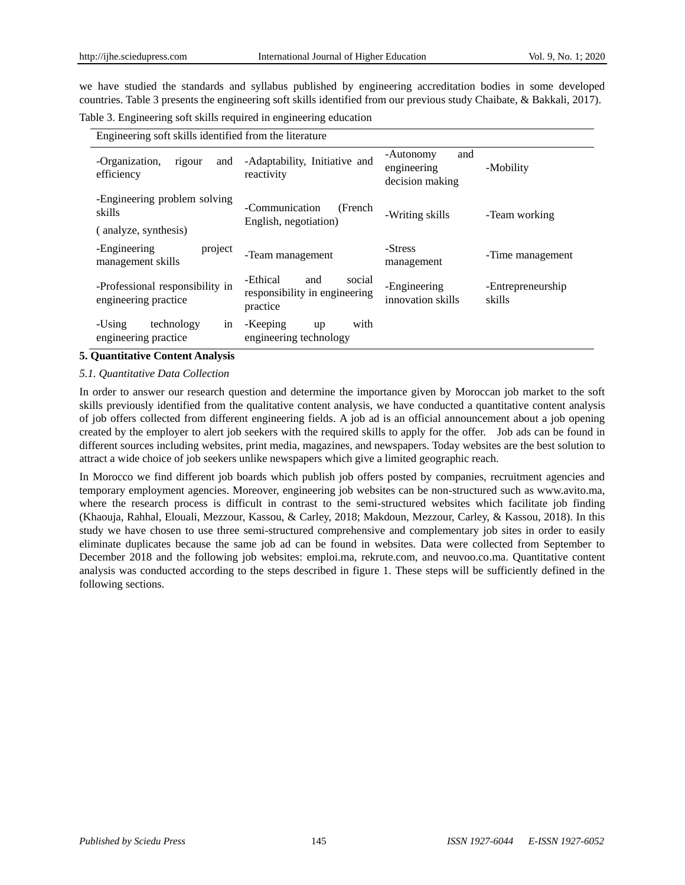we have studied the standards and syllabus published by engineering accreditation bodies in some developed countries. Table 3 presents the engineering soft skills identified from our previous study Chaibate, & Bakkali, 2017).

Table 3. Engineering soft skills required in engineering education

| Engineering soft skills identified from the literature         |                                                                        |                                                    |                             |
|----------------------------------------------------------------|------------------------------------------------------------------------|----------------------------------------------------|-----------------------------|
| -Organization,<br>rigour<br>and<br>efficiency                  | -Adaptability, Initiative and<br>reactivity                            | -Autonomy<br>and<br>engineering<br>decision making | -Mobility                   |
| -Engineering problem solving<br>skills<br>(analyze, synthesis) | -Communication<br>(French)<br>English, negotiation)                    | -Writing skills                                    | -Team working               |
|                                                                |                                                                        | -Stress                                            |                             |
| project<br>-Engineering<br>management skills                   | -Team management                                                       | management                                         | -Time management            |
| -Professional responsibility in<br>engineering practice        | -Ethical<br>social<br>and<br>responsibility in engineering<br>practice | -Engineering<br>innovation skills                  | -Entrepreneurship<br>skills |
| -Using<br>technology<br>in<br>engineering practice             | with<br>-Keeping<br>up<br>engineering technology                       |                                                    |                             |

## **5. Quantitative Content Analysis**

## *5.1. Quantitative Data Collection*

In order to answer our research question and determine the importance given by Moroccan job market to the soft skills previously identified from the qualitative content analysis, we have conducted a quantitative content analysis of job offers collected from different engineering fields. A job ad is an official announcement about a job opening created by the employer to alert job seekers with the required skills to apply for the offer. Job ads can be found in different sources including websites, print media, magazines, and newspapers. Today websites are the best solution to attract a wide choice of job seekers unlike newspapers which give a limited geographic reach.

In Morocco we find different job boards which publish job offers posted by companies, recruitment agencies and temporary employment agencies. Moreover, engineering job websites can be non-structured such as www.avito.ma, where the research process is difficult in contrast to the semi-structured websites which facilitate job finding (Khaouja, Rahhal, Elouali, Mezzour, Kassou, & Carley, 2018; Makdoun, Mezzour, Carley, & Kassou, 2018). In this study we have chosen to use three semi-structured comprehensive and complementary job sites in order to easily eliminate duplicates because the same job ad can be found in websites. Data were collected from September to December 2018 and the following job websites: emploi.ma, rekrute.com, and neuvoo.co.ma. Quantitative content analysis was conducted according to the steps described in figure 1. These steps will be sufficiently defined in the following sections.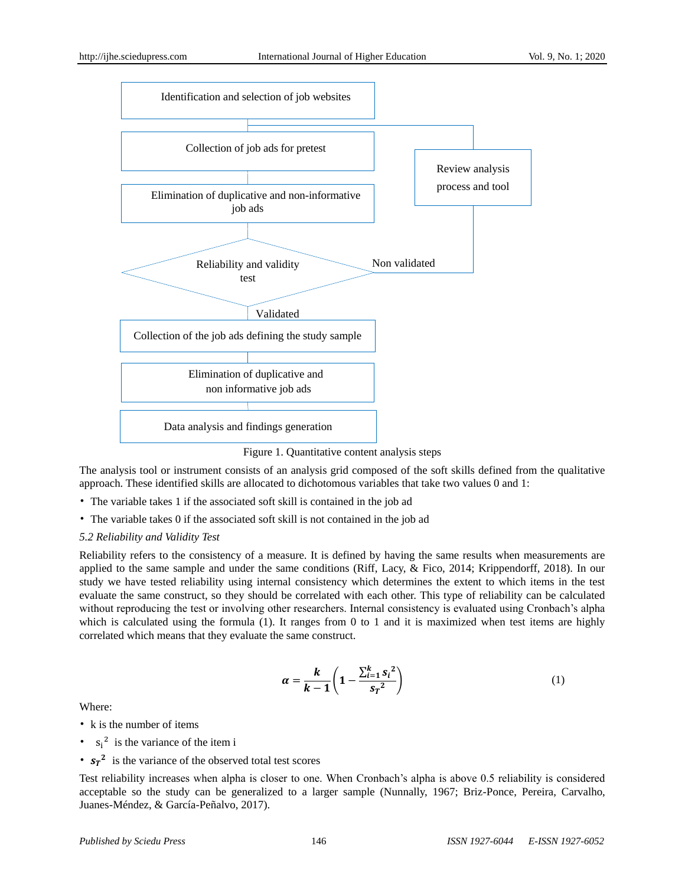

The analysis tool or instrument consists of an analysis grid composed of the soft skills defined from the qualitative approach. These identified skills are allocated to dichotomous variables that take two values 0 and 1:

- The variable takes 1 if the associated soft skill is contained in the job ad
- The variable takes 0 if the associated soft skill is not contained in the job ad

## *5.2 Reliability and Validity Test*

Reliability refers to the consistency of a measure. It is defined by having the same results when measurements are applied to the same sample and under the same conditions (Riff, Lacy, & Fico, 2014; Krippendorff, 2018). In our study we have tested reliability using internal consistency which determines the extent to which items in the test evaluate the same construct, so they should be correlated with each other. This type of reliability can be calculated without reproducing the test or involving other researchers. Internal consistency is evaluated using Cronbach's alpha which is calculated using the formula (1). It ranges from 0 to 1 and it is maximized when test items are highly correlated which means that they evaluate the same construct.

$$
\alpha = \frac{k}{k-1} \left( 1 - \frac{\sum_{i=1}^{k} s_i^2}{s_T^2} \right) \tag{1}
$$

Where:

- k is the number of items
- $s_i^2$  is the variance of the item i
- $s_r^2$  is the variance of the observed total test scores

Test reliability increases when alpha is closer to one. When Cronbach's alpha is above 0.5 reliability is considered acceptable so the study can be generalized to a larger sample (Nunnally, 1967; Briz-Ponce, Pereira, Carvalho, Juanes-Méndez, & Garc á-Peñalvo, 2017).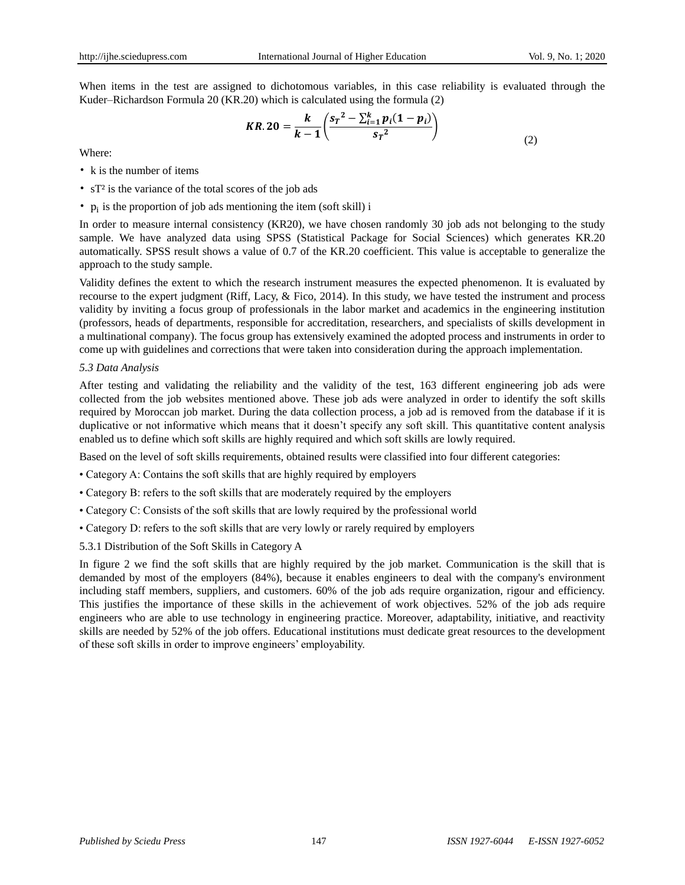When items in the test are assigned to dichotomous variables, in this case reliability is evaluated through the Kuder–Richardson Formula 20 (KR.20) which is calculated using the formula (2)

$$
KR.20 = \frac{k}{k-1} \left( \frac{s_r^2 - \sum_{i=1}^k p_i (1 - p_i)}{s_r^2} \right)
$$
 (2)

Where:

- k is the number of items
- sT<sup>2</sup> is the variance of the total scores of the job ads
- $p_i$  is the proportion of job ads mentioning the item (soft skill) i

In order to measure internal consistency (KR20), we have chosen randomly 30 job ads not belonging to the study sample. We have analyzed data using SPSS (Statistical Package for Social Sciences) which generates KR.20 automatically. SPSS result shows a value of 0.7 of the KR.20 coefficient. This value is acceptable to generalize the approach to the study sample.

Validity defines the extent to which the research instrument measures the expected phenomenon. It is evaluated by recourse to the expert judgment (Riff, Lacy, & Fico, 2014). In this study, we have tested the instrument and process validity by inviting a focus group of professionals in the labor market and academics in the engineering institution (professors, heads of departments, responsible for accreditation, researchers, and specialists of skills development in a multinational company). The focus group has extensively examined the adopted process and instruments in order to come up with guidelines and corrections that were taken into consideration during the approach implementation.

## *5.3 Data Analysis*

After testing and validating the reliability and the validity of the test, 163 different engineering job ads were collected from the job websites mentioned above. These job ads were analyzed in order to identify the soft skills required by Moroccan job market. During the data collection process, a job ad is removed from the database if it is duplicative or not informative which means that it doesn't specify any soft skill. This quantitative content analysis enabled us to define which soft skills are highly required and which soft skills are lowly required.

Based on the level of soft skills requirements, obtained results were classified into four different categories:

- Category A: Contains the soft skills that are highly required by employers
- Category B: refers to the soft skills that are moderately required by the employers
- Category C: Consists of the soft skills that are lowly required by the professional world
- Category D: refers to the soft skills that are very lowly or rarely required by employers
- 5.3.1 Distribution of the Soft Skills in Category A

In figure 2 we find the soft skills that are highly required by the job market. Communication is the skill that is demanded by most of the employers (84%), because it enables engineers to deal with the company's environment including staff members, suppliers, and customers. 60% of the job ads require organization, rigour and efficiency. This justifies the importance of these skills in the achievement of work objectives. 52% of the job ads require engineers who are able to use technology in engineering practice. Moreover, adaptability, initiative, and reactivity skills are needed by 52% of the job offers. Educational institutions must dedicate great resources to the development of these soft skills in order to improve engineers' employability.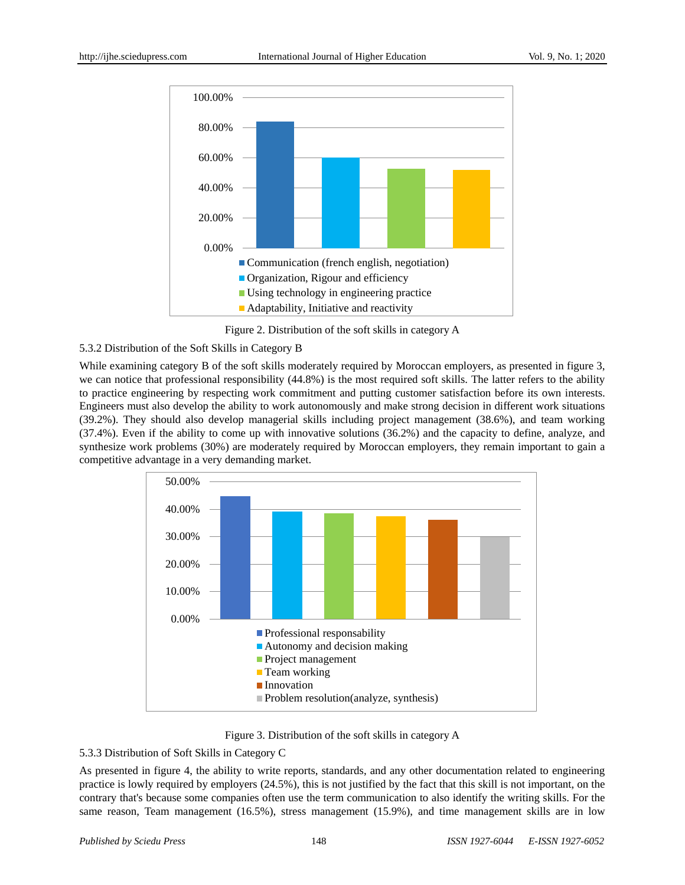

Figure 2. Distribution of the soft skills in category A

# 5.3.2 Distribution of the Soft Skills in Category B

While examining category B of the soft skills moderately required by Moroccan employers, as presented in figure 3, we can notice that professional responsibility (44.8%) is the most required soft skills. The latter refers to the ability to practice engineering by respecting work commitment and putting customer satisfaction before its own interests. Engineers must also develop the ability to work autonomously and make strong decision in different work situations (39.2%). They should also develop managerial skills including project management (38.6%), and team working (37.4%). Even if the ability to come up with innovative solutions (36.2%) and the capacity to define, analyze, and synthesize work problems (30%) are moderately required by Moroccan employers, they remain important to gain a competitive advantage in a very demanding market.



Figure 3. Distribution of the soft skills in category A

# 5.3.3 Distribution of Soft Skills in Category C

As presented in figure 4, the ability to write reports, standards, and any other documentation related to engineering practice is lowly required by employers (24.5%), this is not justified by the fact that this skill is not important, on the contrary that's because some companies often use the term communication to also identify the writing skills. For the same reason, Team management (16.5%), stress management (15.9%), and time management skills are in low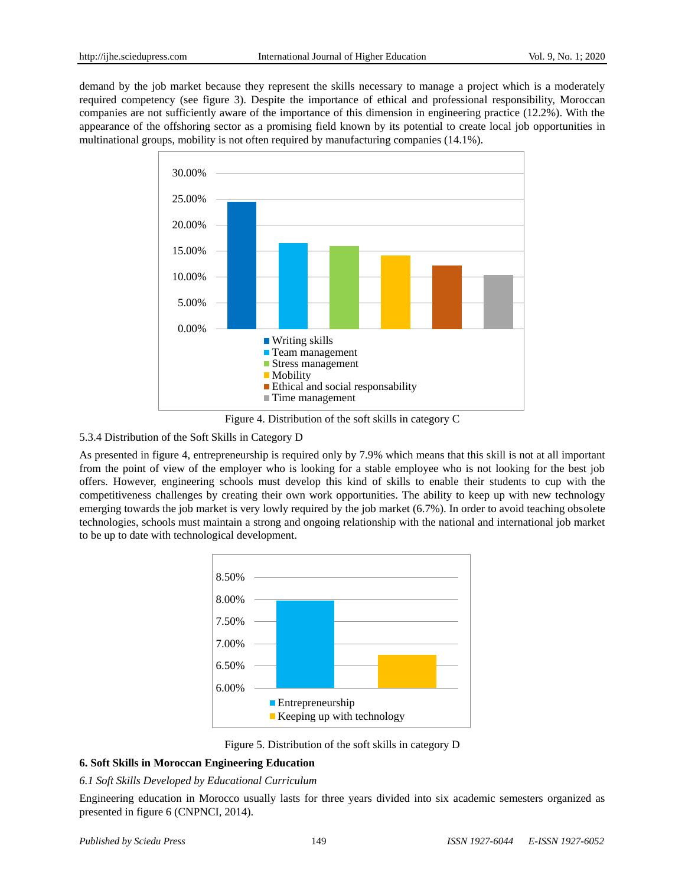demand by the job market because they represent the skills necessary to manage a project which is a moderately required competency (see figure 3). Despite the importance of ethical and professional responsibility, Moroccan companies are not sufficiently aware of the importance of this dimension in engineering practice (12.2%). With the appearance of the offshoring sector as a promising field known by its potential to create local job opportunities in multinational groups, mobility is not often required by manufacturing companies (14.1%).



Figure 4. Distribution of the soft skills in category C

## 5.3.4 Distribution of the Soft Skills in Category D

As presented in figure 4, entrepreneurship is required only by 7.9% which means that this skill is not at all important from the point of view of the employer who is looking for a stable employee who is not looking for the best job offers. However, engineering schools must develop this kind of skills to enable their students to cup with the competitiveness challenges by creating their own work opportunities. The ability to keep up with new technology emerging towards the job market is very lowly required by the job market (6.7%). In order to avoid teaching obsolete technologies, schools must maintain a strong and ongoing relationship with the national and international job market to be up to date with technological development.



Figure 5. Distribution of the soft skills in category D

# **6. Soft Skills in Moroccan Engineering Education**

## *6.1 Soft Skills Developed by Educational Curriculum*

Engineering education in Morocco usually lasts for three years divided into six academic semesters organized as presented in figure 6 (CNPNCI, 2014).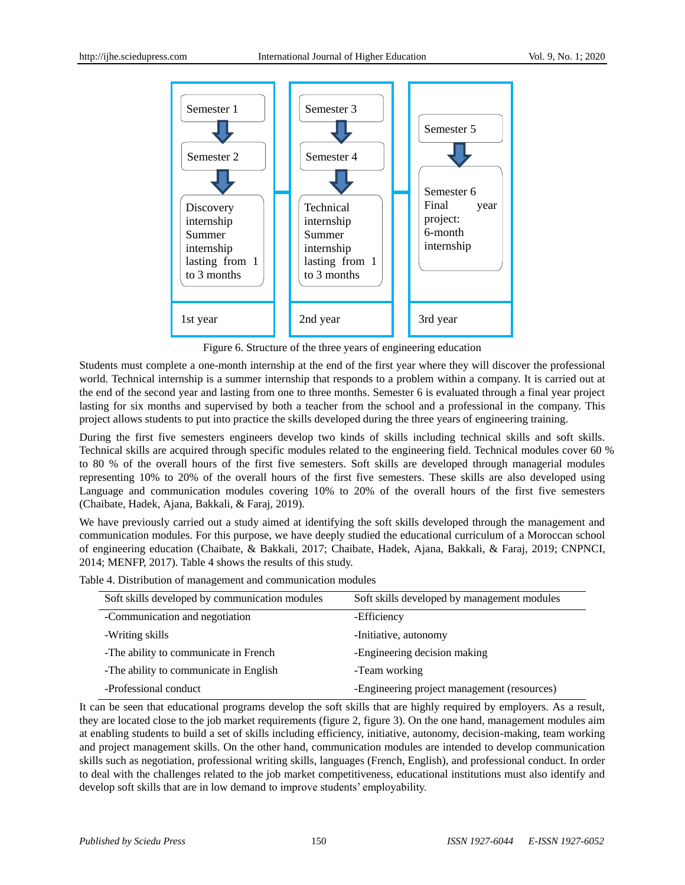

Figure 6. Structure of the three years of engineering education

Students must complete a one-month internship at the end of the first year where they will discover the professional world. Technical internship is a summer internship that responds to a problem within a company. It is carried out at the end of the second year and lasting from one to three months. Semester 6 is evaluated through a final year project lasting for six months and supervised by both a teacher from the school and a professional in the company. This project allows students to put into practice the skills developed during the three years of engineering training.

During the first five semesters engineers develop two kinds of skills including technical skills and soft skills. Technical skills are acquired through specific modules related to the engineering field. Technical modules cover 60 % to 80 % of the overall hours of the first five semesters. Soft skills are developed through managerial modules representing 10% to 20% of the overall hours of the first five semesters. These skills are also developed using Language and communication modules covering 10% to 20% of the overall hours of the first five semesters (Chaibate, Hadek, Ajana, Bakkali, & Faraj, 2019).

We have previously carried out a study aimed at identifying the soft skills developed through the management and communication modules. For this purpose, we have deeply studied the educational curriculum of a Moroccan school of engineering education (Chaibate, & Bakkali, 2017; Chaibate, Hadek, Ajana, Bakkali, & Faraj, 2019; CNPNCI, 2014; MENFP, 2017). Table 4 shows the results of this study.

Table 4. Distribution of management and communication modules

| Soft skills developed by communication modules | Soft skills developed by management modules |
|------------------------------------------------|---------------------------------------------|
| -Communication and negotiation                 | -Efficiency                                 |
| -Writing skills                                | -Initiative, autonomy                       |
| -The ability to communicate in French          | -Engineering decision making                |
| -The ability to communicate in English         | -Team working                               |
| -Professional conduct                          | -Engineering project management (resources) |

It can be seen that educational programs develop the soft skills that are highly required by employers. As a result, they are located close to the job market requirements (figure 2, figure 3). On the one hand, management modules aim at enabling students to build a set of skills including efficiency, initiative, autonomy, decision-making, team working and project management skills. On the other hand, communication modules are intended to develop communication skills such as negotiation, professional writing skills, languages (French, English), and professional conduct. In order to deal with the challenges related to the job market competitiveness, educational institutions must also identify and develop soft skills that are in low demand to improve students' employability.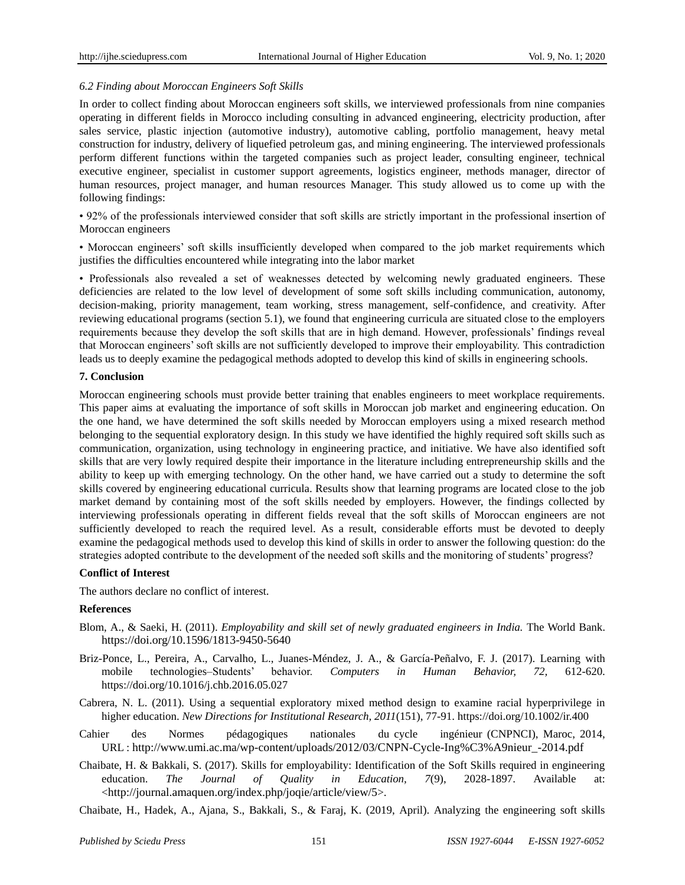#### *6.2 Finding about Moroccan Engineers Soft Skills*

In order to collect finding about Moroccan engineers soft skills, we interviewed professionals from nine companies operating in different fields in Morocco including consulting in advanced engineering, electricity production, after sales service, plastic injection (automotive industry), automotive cabling, portfolio management, heavy metal construction for industry, delivery of liquefied petroleum gas, and mining engineering. The interviewed professionals perform different functions within the targeted companies such as project leader, consulting engineer, technical executive engineer, specialist in customer support agreements, logistics engineer, methods manager, director of human resources, project manager, and human resources Manager. This study allowed us to come up with the following findings:

• 92% of the professionals interviewed consider that soft skills are strictly important in the professional insertion of Moroccan engineers

• Moroccan engineers' soft skills insufficiently developed when compared to the job market requirements which justifies the difficulties encountered while integrating into the labor market

• Professionals also revealed a set of weaknesses detected by welcoming newly graduated engineers. These deficiencies are related to the low level of development of some soft skills including communication, autonomy, decision-making, priority management, team working, stress management, self-confidence, and creativity. After reviewing educational programs (section 5.1), we found that engineering curricula are situated close to the employers requirements because they develop the soft skills that are in high demand. However, professionals' findings reveal that Moroccan engineers' soft skills are not sufficiently developed to improve their employability. This contradiction leads us to deeply examine the pedagogical methods adopted to develop this kind of skills in engineering schools.

#### **7. Conclusion**

Moroccan engineering schools must provide better training that enables engineers to meet workplace requirements. This paper aims at evaluating the importance of soft skills in Moroccan job market and engineering education. On the one hand, we have determined the soft skills needed by Moroccan employers using a mixed research method belonging to the sequential exploratory design. In this study we have identified the highly required soft skills such as communication, organization, using technology in engineering practice, and initiative. We have also identified soft skills that are very lowly required despite their importance in the literature including entrepreneurship skills and the ability to keep up with emerging technology. On the other hand, we have carried out a study to determine the soft skills covered by engineering educational curricula. Results show that learning programs are located close to the job market demand by containing most of the soft skills needed by employers. However, the findings collected by interviewing professionals operating in different fields reveal that the soft skills of Moroccan engineers are not sufficiently developed to reach the required level. As a result, considerable efforts must be devoted to deeply examine the pedagogical methods used to develop this kind of skills in order to answer the following question: do the strategies adopted contribute to the development of the needed soft skills and the monitoring of students' progress?

#### **Conflict of Interest**

The authors declare no conflict of interest.

#### **References**

- Blom, A., & Saeki, H. (2011). *Employability and skill set of newly graduated engineers in India.* The World Bank. https://doi.org/10.1596/1813-9450-5640
- Briz-Ponce, L., Pereira, A., Carvalho, L., Juanes-Méndez, J. A., & García-Peñalvo, F. J. (2017). Learning with mobile technologies–Students' behavior. *Computers in Human Behavior, 72,* 612-620. https://doi.org/10.1016/j.chb.2016.05.027
- Cabrera, N. L. (2011). Using a sequential exploratory mixed method design to examine racial hyperprivilege in higher education. *New Directions for Institutional Research, 2011*(151), 77-91. https://doi.org/10.1002/ir.400
- Cahier des Normes pédagogiques nationales du cycle ingénieur (CNPNCI), Maroc, 2014, URL : [http://www.umi.ac.ma/wp-content/uploads/2012/03/CNPN-Cycle-Ing%C3%A9nieur\\_-2014.pdf](http://www.umi.ac.ma/wp-content/uploads/2012/03/CNPN-Cycle-Ing%C3%A9nieur_-2014.pdf)
- Chaibate, H. & Bakkali, S. (2017). Skills for employability: Identification of the Soft Skills required in engineering education. *The Journal of Quality in Education, 7*(9), 2028-1897. Available at: <http://journal.amaquen.org/index.php/joqie/article/view/5>.
- Chaibate, H., Hadek, A., Ajana, S., Bakkali, S., & Faraj, K. (2019, April). Analyzing the engineering soft skills